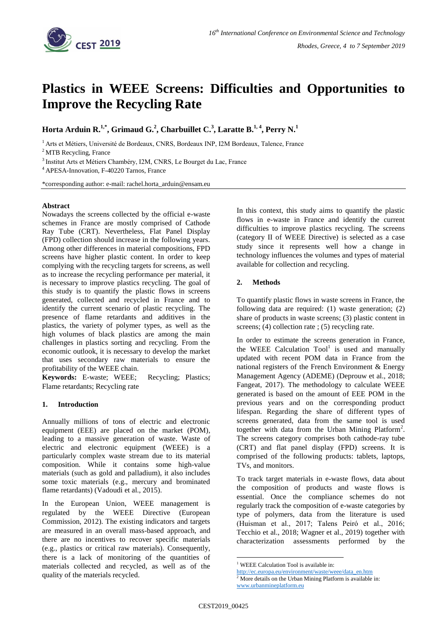

# **Plastics in WEEE Screens: Difficulties and Opportunities to Improve the Recycling Rate**

**Horta Arduin R.1,\* , Grimaud G.<sup>2</sup> , Charbuillet C.<sup>3</sup> , Laratte B.1, <sup>4</sup> , Perry N.<sup>1</sup>**

<sup>1</sup> Arts et Métiers, Université de Bordeaux, CNRS, Bordeaux INP, I2M Bordeaux, Talence, France

<sup>2</sup> MTB Recycling, France

<sup>3</sup> Institut Arts et Métiers Chambéry, I2M, CNRS, Le Bourget du Lac, France

<sup>4</sup> APESA-Innovation, F-40220 Tarnos, France

\*corresponding author: e-mail: rachel.horta\_arduin@ensam.eu

#### **Abstract**

Nowadays the screens collected by the official e-waste schemes in France are mostly comprised of Cathode Ray Tube (CRT). Nevertheless, Flat Panel Display (FPD) collection should increase in the following years. Among other differences in material compositions, FPD screens have higher plastic content. In order to keep complying with the recycling targets for screens, as well as to increase the recycling performance per material, it is necessary to improve plastics recycling. The goal of this study is to quantify the plastic flows in screens generated, collected and recycled in France and to identify the current scenario of plastic recycling. The presence of flame retardants and additives in the plastics, the variety of polymer types, as well as the high volumes of black plastics are among the main challenges in plastics sorting and recycling. From the economic outlook, it is necessary to develop the market that uses secondary raw materials to ensure the profitability of the WEEE chain.

**Keywords:** E-waste; WEEE; Recycling; Plastics; Flame retardants; Recycling rate

## **1. Introduction**

Annually millions of tons of electric and electronic equipment (EEE) are placed on the market (POM), leading to a massive generation of waste. Waste of electric and electronic equipment (WEEE) is a particularly complex waste stream due to its material composition. While it contains some high-value materials (such as gold and palladium), it also includes some toxic materials (e.g., mercury and brominated flame retardants) (Vadoudi et al., 2015).

In the European Union, WEEE management is regulated by the WEEE Directive (European Commission, 2012). The existing indicators and targets are measured in an overall mass-based approach, and there are no incentives to recover specific materials (e.g., plastics or critical raw materials). Consequently, there is a lack of monitoring of the quantities of materials collected and recycled, as well as of the quality of the materials recycled.

In this context, this study aims to quantify the plastic flows in e-waste in France and identify the current difficulties to improve plastics recycling. The screens (category II of WEEE Directive) is selected as a case study since it represents well how a change in technology influences the volumes and types of material available for collection and recycling.

## **2. Methods**

To quantify plastic flows in waste screens in France, the following data are required: (1) waste generation; (2) share of products in waste screens; (3) plastic content in screens; (4) collection rate ; (5) recycling rate.

In order to estimate the screens generation in France, the WEEE Calculation  $Tool<sup>1</sup>$  is used and manually updated with recent POM data in France from the national registers of the French Environment & Energy Management Agency (ADEME) (Deprouw et al., 2018; Fangeat, 2017). The methodology to calculate WEEE generated is based on the amount of EEE POM in the previous years and on the corresponding product lifespan. Regarding the share of different types of screens generated, data from the same tool is used together with data from the Urban Mining Platform<sup>2</sup>. The screens category comprises both cathode-ray tube (CRT) and flat panel display (FPD) screens. It is comprised of the following products: tablets, laptops, TVs, and monitors.

To track target materials in e-waste flows, data about the composition of products and waste flows is essential. Once the compliance schemes do not regularly track the composition of e-waste categories by type of polymers, data from the literature is used (Huisman et al., 2017; Talens Peiró et al., 2016; Tecchio et al., 2018; Wagner et al., 2019) together with characterization assessments performed by the

<u>.</u>

<sup>&</sup>lt;sup>1</sup> WEEE Calculation Tool is available in:

[http://ec.europa.eu/environment/waste/weee/data\\_en.htm](http://ec.europa.eu/environment/waste/weee/data_en.htm)

 $2$  More details on the Urban Mining Platform is available in: www.urbanmineplatform.eu